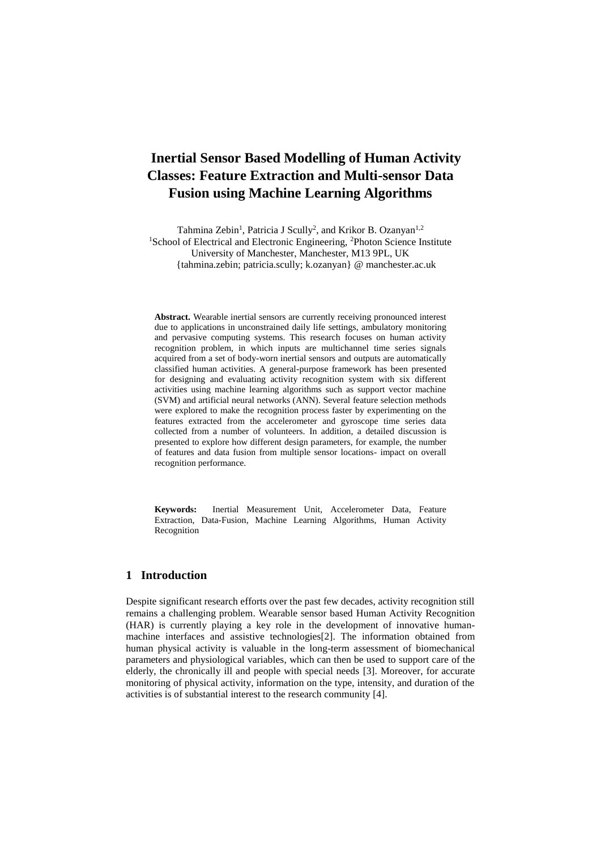# **Inertial Sensor Based Modelling of Human Activity Classes: Feature Extraction and Multi-sensor Data Fusion using Machine Learning Algorithms**

Tahmina Zebin<sup>1</sup>, Patricia J Scully<sup>2</sup>, and Krikor B. Ozanyan<sup>1,2</sup> <sup>1</sup>School of Electrical and Electronic Engineering, <sup>2</sup>Photon Science Institute University of Manchester, Manchester, M13 9PL, UK {tahmina.zebin; patricia.scully; k.ozanyan} @ manchester.ac.uk

**Abstract.** Wearable inertial sensors are currently receiving pronounced interest due to applications in unconstrained daily life settings, ambulatory monitoring and pervasive computing systems. This research focuses on human activity recognition problem, in which inputs are multichannel time series signals acquired from a set of body-worn inertial sensors and outputs are automatically classified human activities. A general-purpose framework has been presented for designing and evaluating activity recognition system with six different activities using machine learning algorithms such as support vector machine (SVM) and artificial neural networks (ANN). Several feature selection methods were explored to make the recognition process faster by experimenting on the features extracted from the accelerometer and gyroscope time series data collected from a number of volunteers. In addition, a detailed discussion is presented to explore how different design parameters, for example, the number of features and data fusion from multiple sensor locations- impact on overall recognition performance.

**Keywords:** Inertial Measurement Unit, Accelerometer Data, Feature Extraction, Data-Fusion, Machine Learning Algorithms, Human Activity Recognition

# **1 Introduction**

Despite significant research efforts over the past few decades, activity recognition still remains a challenging problem. Wearable sensor based Human Activity Recognition (HAR) is currently playing a key role in the development of innovative humanmachine interfaces and assistive technologies[2]. The information obtained from human physical activity is valuable in the long-term assessment of biomechanical parameters and physiological variables, which can then be used to support care of the elderly, the chronically ill and people with special needs [3]. Moreover, for accurate monitoring of physical activity, information on the type, intensity, and duration of the activities is of substantial interest to the research community [4].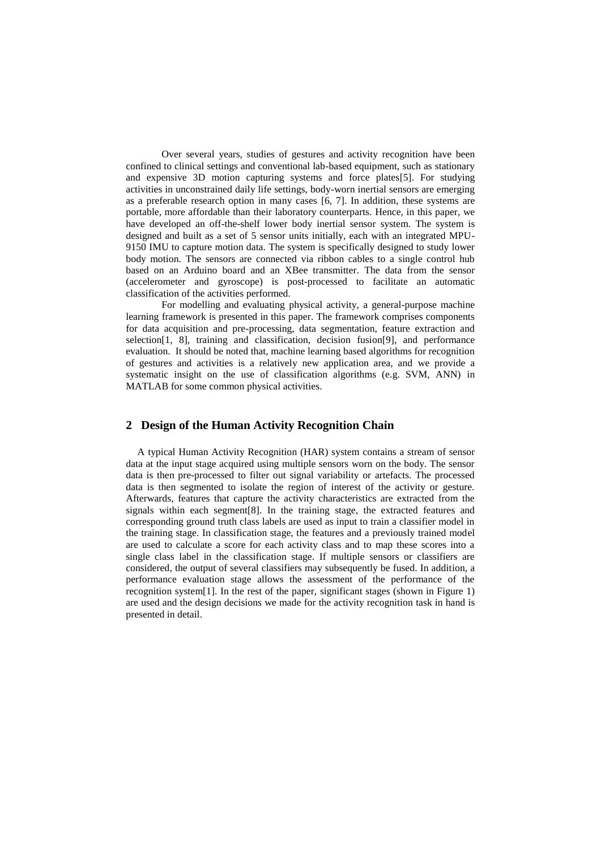Over several years, studies of gestures and activity recognition have been confined to clinical settings and conventional lab-based equipment, such as stationary and expensive 3D motion capturing systems and force plates[5]. For studying activities in unconstrained daily life settings, body-worn inertial sensors are emerging as a preferable research option in many cases [6, 7]. In addition, these systems are portable, more affordable than their laboratory counterparts. Hence, in this paper, we have developed an off-the-shelf lower body inertial sensor system. The system is designed and built as a set of 5 sensor units initially, each with an integrated MPU-9150 IMU to capture motion data. The system is specifically designed to study lower body motion. The sensors are connected via ribbon cables to a single control hub based on an Arduino board and an XBee transmitter. The data from the sensor (accelerometer and gyroscope) is post-processed to facilitate an automatic classification of the activities performed.

For modelling and evaluating physical activity, a general-purpose machine learning framework is presented in this paper. The framework comprises components for data acquisition and pre-processing, data segmentation, feature extraction and selection[1, 8], training and classification, decision fusion[9], and performance evaluation. It should be noted that, machine learning based algorithms for recognition of gestures and activities is a relatively new application area, and we provide a systematic insight on the use of classification algorithms (e.g. SVM, ANN) in MATLAB for some common physical activities.

# **2 Design of the Human Activity Recognition Chain**

A typical Human Activity Recognition (HAR) system contains a stream of sensor data at the input stage acquired using multiple sensors worn on the body. The sensor data is then pre-processed to filter out signal variability or artefacts. The processed data is then segmented to isolate the region of interest of the activity or gesture. Afterwards, features that capture the activity characteristics are extracted from the signals within each segment[8]. In the training stage, the extracted features and corresponding ground truth class labels are used as input to train a classifier model in the training stage. In classification stage, the features and a previously trained model are used to calculate a score for each activity class and to map these scores into a single class label in the classification stage. If multiple sensors or classifiers are considered, the output of several classifiers may subsequently be fused. In addition, a performance evaluation stage allows the assessment of the performance of the recognition system[1]. In the rest of the paper, significant stages (shown in Figure 1) are used and the design decisions we made for the activity recognition task in hand is presented in detail.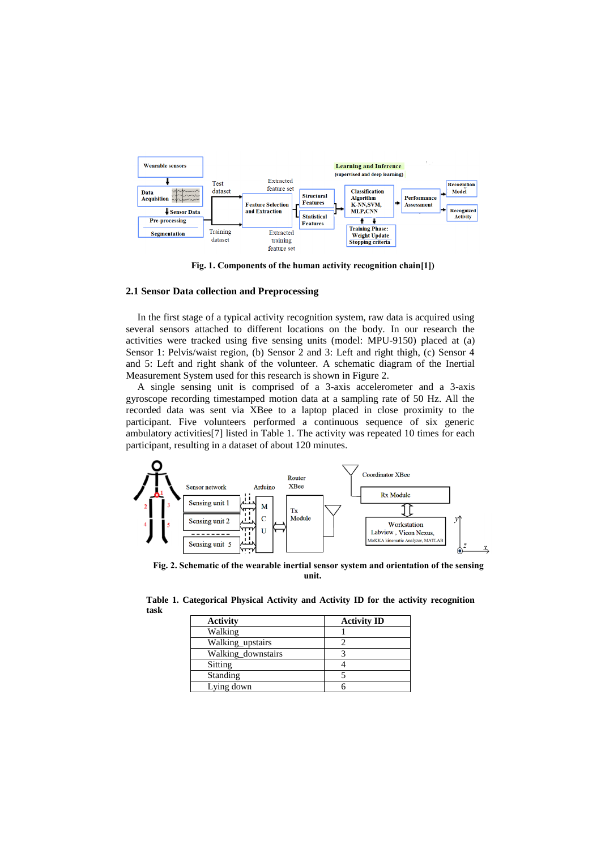

**Fig. 1. Components of the human activity recognition chain[1])**

### **2.1 Sensor Data collection and Preprocessing**

In the first stage of a typical activity recognition system, raw data is acquired using several sensors attached to different locations on the body. In our research the activities were tracked using five sensing units (model: MPU-9150) placed at (a) Sensor 1: Pelvis/waist region, (b) Sensor 2 and 3: Left and right thigh, (c) Sensor 4 and 5: Left and right shank of the volunteer. A schematic diagram of the Inertial Measurement System used for this research is shown in Figure 2.

A single sensing unit is comprised of a 3-axis accelerometer and a 3-axis gyroscope recording timestamped motion data at a sampling rate of 50 Hz. All the recorded data was sent via XBee to a laptop placed in close proximity to the participant. Five volunteers performed a continuous sequence of six generic ambulatory activities[7] listed in Table 1. The activity was repeated 10 times for each participant, resulting in a dataset of about 120 minutes.



**Fig. 2. Schematic of the wearable inertial sensor system and orientation of the sensing unit.**

**Table 1. Categorical Physical Activity and Activity ID for the activity recognition task**

| <b>Activity</b>    | <b>Activity ID</b> |
|--------------------|--------------------|
| Walking            |                    |
| Walking_upstairs   |                    |
| Walking_downstairs |                    |
| Sitting            |                    |
| Standing           |                    |
| Lying down         |                    |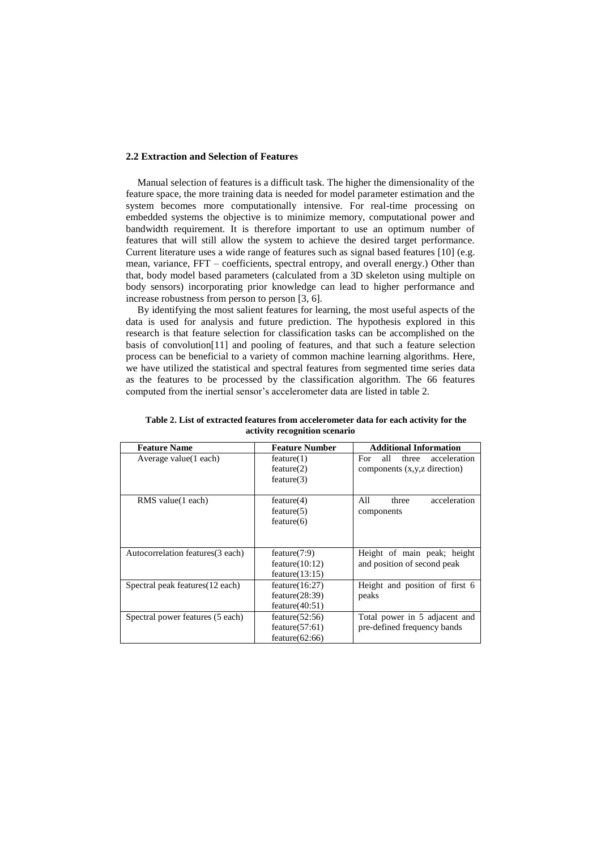### **2.2 Extraction and Selection of Features**

Manual selection of features is a difficult task. The higher the dimensionality of the feature space, the more training data is needed for model parameter estimation and the system becomes more computationally intensive. For real-time processing on embedded systems the objective is to minimize memory, computational power and bandwidth requirement. It is therefore important to use an optimum number of features that will still allow the system to achieve the desired target performance. Current literature uses a wide range of features such as signal based features [10] (e.g. mean, variance, FFT – coefficients, spectral entropy, and overall energy.) Other than that, body model based parameters (calculated from a 3D skeleton using multiple on body sensors) incorporating prior knowledge can lead to higher performance and increase robustness from person to person [3, 6].

By identifying the most salient features for learning, the most useful aspects of the data is used for analysis and future prediction. The hypothesis explored in this research is that feature selection for classification tasks can be accomplished on the basis of convolution[11] and pooling of features, and that such a feature selection process can be beneficial to a variety of common machine learning algorithms. Here, we have utilized the statistical and spectral features from segmented time series data as the features to be processed by the classification algorithm. The 66 features computed from the inertial sensor's accelerometer data are listed in table 2.

| <b>Feature Name</b>               | <b>Feature Number</b>    | <b>Additional Information</b>                                         |
|-----------------------------------|--------------------------|-----------------------------------------------------------------------|
| Average value(1 each)             | feature(1)<br>feature(2) | acceleration<br>For<br>all<br>three<br>components $(x,y,z)$ direction |
|                                   | feature(3)               |                                                                       |
| RMS value(1 each)                 | feature $(4)$            | All<br>acceleration<br>three                                          |
|                                   | feature(5)               | components                                                            |
|                                   | feature(6)               |                                                                       |
|                                   |                          |                                                                       |
| Autocorrelation features (3 each) | feature $(7:9)$          | Height of main peak; height                                           |
|                                   | feature $(10:12)$        | and position of second peak                                           |
|                                   | feature $(13:15)$        |                                                                       |
| Spectral peak features (12 each)  | feature $(16:27)$        | Height and position of first 6                                        |
|                                   | feature $(28:39)$        | peaks                                                                 |
|                                   | feature $(40:51)$        |                                                                       |
| Spectral power features (5 each)  | feature $(52:56)$        | Total power in 5 adjacent and                                         |
|                                   | feature $(57:61)$        | pre-defined frequency bands                                           |
|                                   | feature $(62:66)$        |                                                                       |

**Table 2. List of extracted features from accelerometer data for each activity for the activity recognition scenario**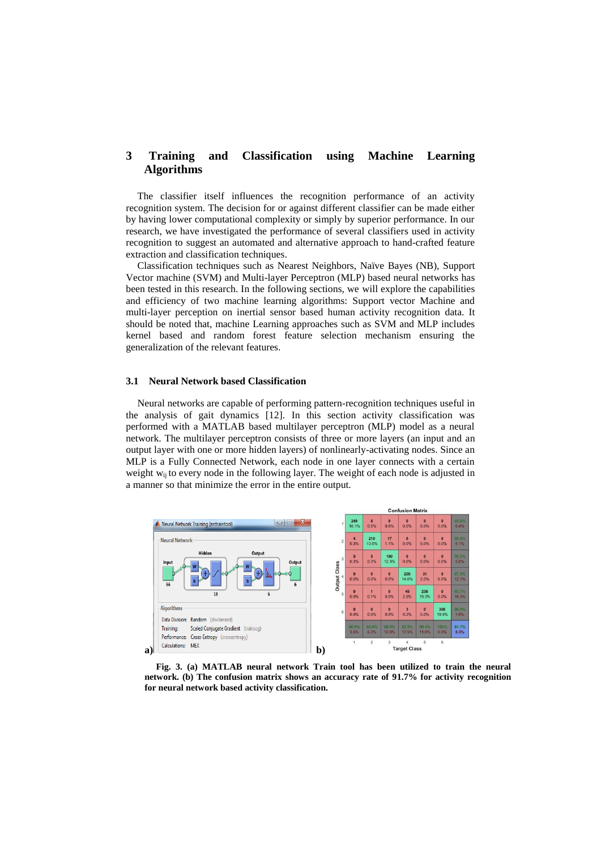# **3 Training and Classification using Machine Learning Algorithms**

The classifier itself influences the recognition performance of an activity recognition system. The decision for or against different classifier can be made either by having lower computational complexity or simply by superior performance. In our research, we have investigated the performance of several classifiers used in activity recognition to suggest an automated and alternative approach to hand-crafted feature extraction and classification techniques.

Classification techniques such as Nearest Neighbors, Naïve Bayes (NB), Support Vector machine (SVM) and Multi-layer Perceptron (MLP) based neural networks has been tested in this research. In the following sections, we will explore the capabilities and efficiency of two machine learning algorithms: Support vector Machine and multi-layer perception on inertial sensor based human activity recognition data. It should be noted that, machine Learning approaches such as SVM and MLP includes kernel based and random forest feature selection mechanism ensuring the generalization of the relevant features.

#### **3.1 Neural Network based Classification**

Neural networks are capable of performing pattern-recognition techniques useful in the analysis of gait dynamics [12]. In this section activity classification was performed with a MATLAB based multilayer perceptron (MLP) model as a neural network. The multilayer perceptron consists of three or more layers (an input and an output layer with one or more hidden layers) of nonlinearly-activating nodes. Since an MLP is a Fully Connected Network, each node in one layer connects with a certain weight  $w_{ij}$  to every node in the following layer. The weight of each node is adjusted in a manner so that minimize the error in the entire output.



**Fig. 3. (a) MATLAB neural network Train tool has been utilized to train the neural network. (b) The confusion matrix shows an accuracy rate of 91.7% for activity recognition for neural network based activity classification.**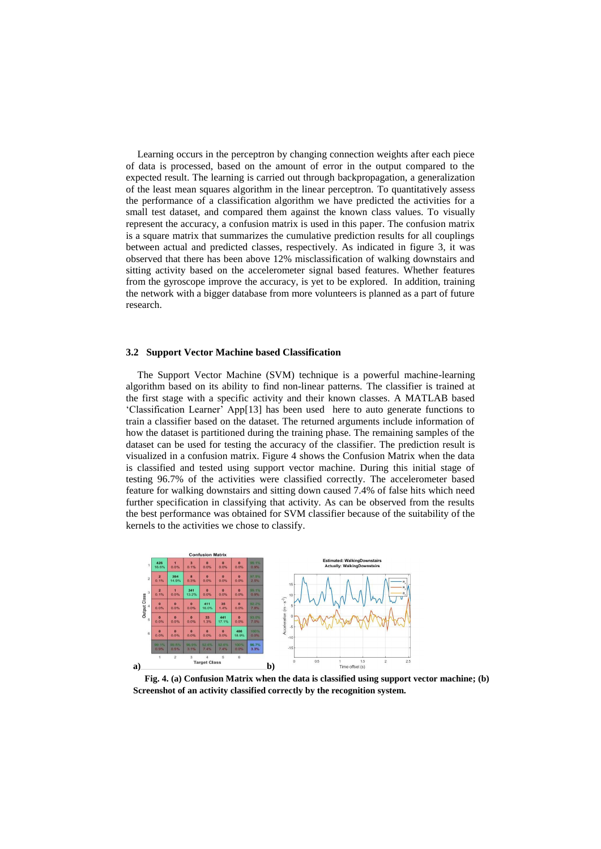Learning occurs in the perceptron by changing connection weights after each piece of data is processed, based on the amount of error in the output compared to the expected result. The learning is carried out through backpropagation, a generalization of the least mean squares algorithm in the linear perceptron. To quantitatively assess the performance of a classification algorithm we have predicted the activities for a small test dataset, and compared them against the known class values. To visually represent the accuracy, a confusion matrix is used in this paper. The confusion matrix is a square matrix that summarizes the cumulative prediction results for all couplings between actual and predicted classes, respectively. As indicated in figure 3, it was observed that there has been above 12% misclassification of walking downstairs and sitting activity based on the accelerometer signal based features. Whether features from the gyroscope improve the accuracy, is yet to be explored. In addition, training the network with a bigger database from more volunteers is planned as a part of future research.

#### **3.2 Support Vector Machine based Classification**

The Support Vector Machine (SVM) technique is a powerful machine-learning algorithm based on its ability to find non-linear patterns. The classifier is trained at the first stage with a specific activity and their known classes. A MATLAB based 'Classification Learner' App[13] has been used here to auto generate functions to train a classifier based on the dataset. The returned arguments include information of how the dataset is partitioned during the training phase. The remaining samples of the dataset can be used for testing the accuracy of the classifier. The prediction result is visualized in a confusion matrix. Figure 4 shows the Confusion Matrix when the data is classified and tested using support vector machine. During this initial stage of testing 96.7% of the activities were classified correctly. The accelerometer based feature for walking downstairs and sitting down caused 7.4% of false hits which need further specification in classifying that activity. As can be observed from the results the best performance was obtained for SVM classifier because of the suitability of the kernels to the activities we chose to classify.



**Fig. 4. (a) Confusion Matrix when the data is classified using support vector machine; (b) Screenshot of an activity classified correctly by the recognition system.**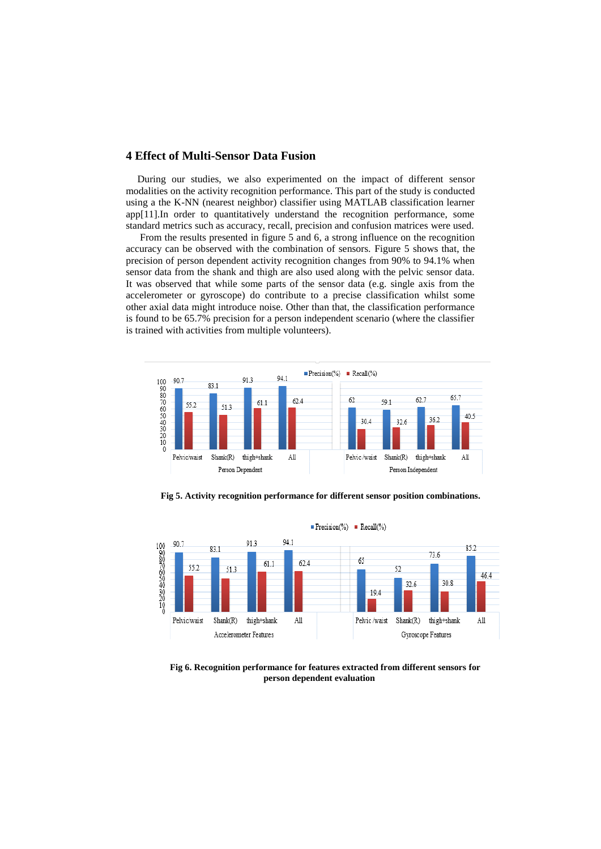### **4 Effect of Multi-Sensor Data Fusion**

During our studies, we also experimented on the impact of different sensor modalities on the activity recognition performance. This part of the study is conducted using a the K-NN (nearest neighbor) classifier using MATLAB classification learner app[11].In order to quantitatively understand the recognition performance, some standard metrics such as accuracy, recall, precision and confusion matrices were used.

From the results presented in figure 5 and 6, a strong influence on the recognition accuracy can be observed with the combination of sensors. Figure 5 shows that, the precision of person dependent activity recognition changes from 90% to 94.1% when sensor data from the shank and thigh are also used along with the pelvic sensor data. It was observed that while some parts of the sensor data (e.g. single axis from the accelerometer or gyroscope) do contribute to a precise classification whilst some other axial data might introduce noise. Other than that, the classification performance is found to be 65.7% precision for a person independent scenario (where the classifier is trained with activities from multiple volunteers).



**Fig 5. Activity recognition performance for different sensor position combinations.** 



**Fig 6. Recognition performance for features extracted from different sensors for person dependent evaluation**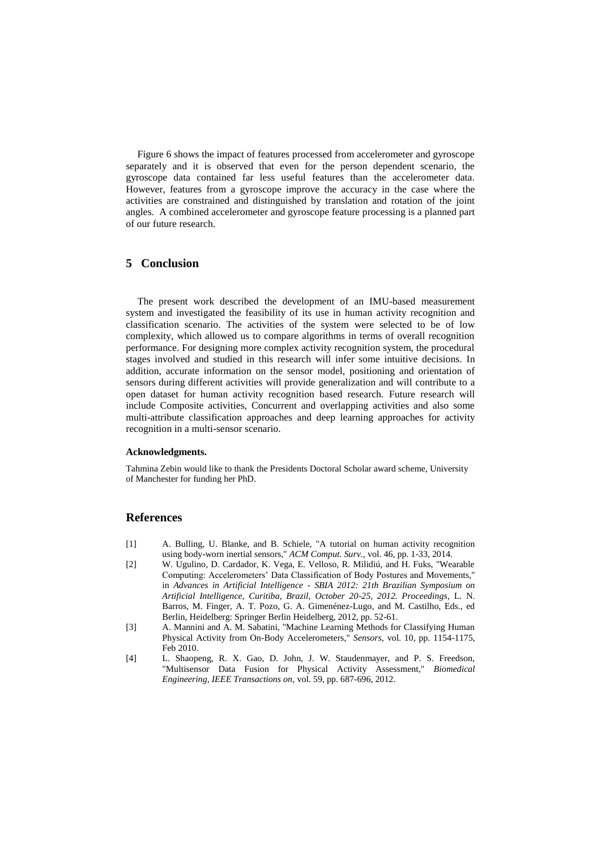Figure 6 shows the impact of features processed from accelerometer and gyroscope separately and it is observed that even for the person dependent scenario, the gyroscope data contained far less useful features than the accelerometer data. However, features from a gyroscope improve the accuracy in the case where the activities are constrained and distinguished by translation and rotation of the joint angles. A combined accelerometer and gyroscope feature processing is a planned part of our future research.

# **5 Conclusion**

The present work described the development of an IMU-based measurement system and investigated the feasibility of its use in human activity recognition and classification scenario. The activities of the system were selected to be of low complexity, which allowed us to compare algorithms in terms of overall recognition performance. For designing more complex activity recognition system, the procedural stages involved and studied in this research will infer some intuitive decisions. In addition, accurate information on the sensor model, positioning and orientation of sensors during different activities will provide generalization and will contribute to a open dataset for human activity recognition based research. Future research will include Composite activities, Concurrent and overlapping activities and also some multi-attribute classification approaches and deep learning approaches for activity recognition in a multi-sensor scenario.

#### **Acknowledgments.**

Tahmina Zebin would like to thank the Presidents Doctoral Scholar award scheme, University of Manchester for funding her PhD.

### **References**

- [1] A. Bulling, U. Blanke, and B. Schiele, "A tutorial on human activity recognition using body-worn inertial sensors," *ACM Comput. Surv.,* vol. 46, pp. 1-33, 2014.
- [2] W. Ugulino, D. Cardador, K. Vega, E. Velloso, R. Milidiú, and H. Fuks, "Wearable Computing: Accelerometers' Data Classification of Body Postures and Movements," in *Advances in Artificial Intelligence - SBIA 2012: 21th Brazilian Symposium on Artificial Intelligence, Curitiba, Brazil, October 20-25, 2012. Proceedings*, L. N. Barros, M. Finger, A. T. Pozo, G. A. Gimenénez-Lugo, and M. Castilho, Eds., ed Berlin, Heidelberg: Springer Berlin Heidelberg, 2012, pp. 52-61.
- [3] A. Mannini and A. M. Sabatini, "Machine Learning Methods for Classifying Human Physical Activity from On-Body Accelerometers," *Sensors,* vol. 10, pp. 1154-1175, Feb 2010.
- [4] L. Shaopeng, R. X. Gao, D. John, J. W. Staudenmayer, and P. S. Freedson, "Multisensor Data Fusion for Physical Activity Assessment," *Biomedical Engineering, IEEE Transactions on,* vol. 59, pp. 687-696, 2012.